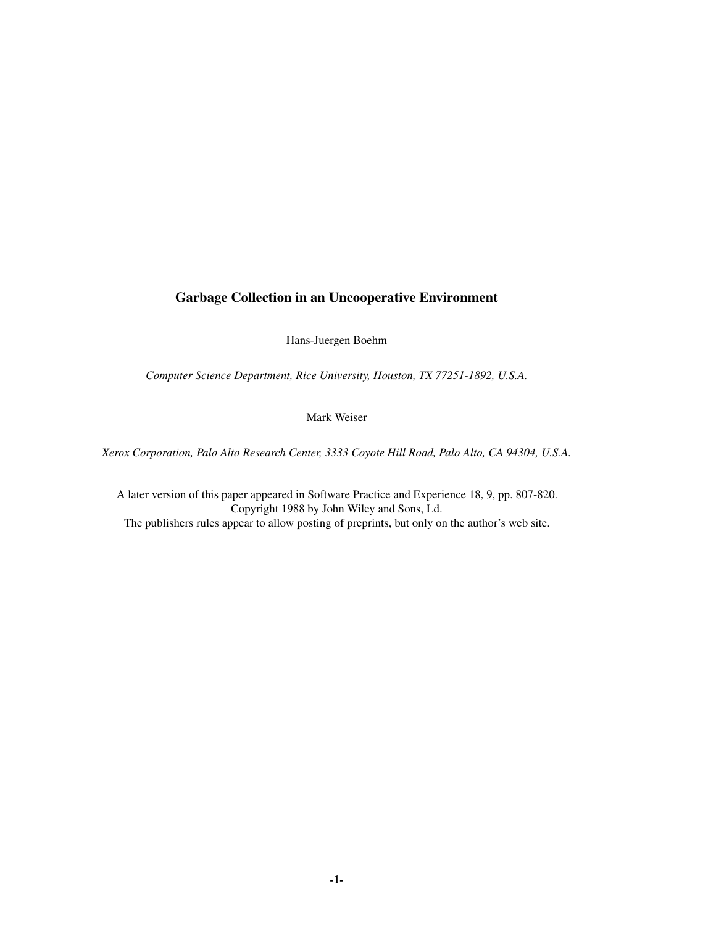## **Garbage Collection in an Uncooperative Environment**

Hans-Juergen Boehm

*Computer Science Department, Rice University, Houston, TX 77251-1892, U.S.A.*

Mark Weiser

*Xerox Corporation, Palo Alto Research Center, 3333 Coyote Hill Road, Palo Alto, CA 94304, U.S.A.*

A later version of this paper appeared in Software Practice and Experience 18, 9, pp. 807-820. Copyright 1988 by John Wiley and Sons, Ld. The publishers rules appear to allow posting of preprints, but only on the author's web site.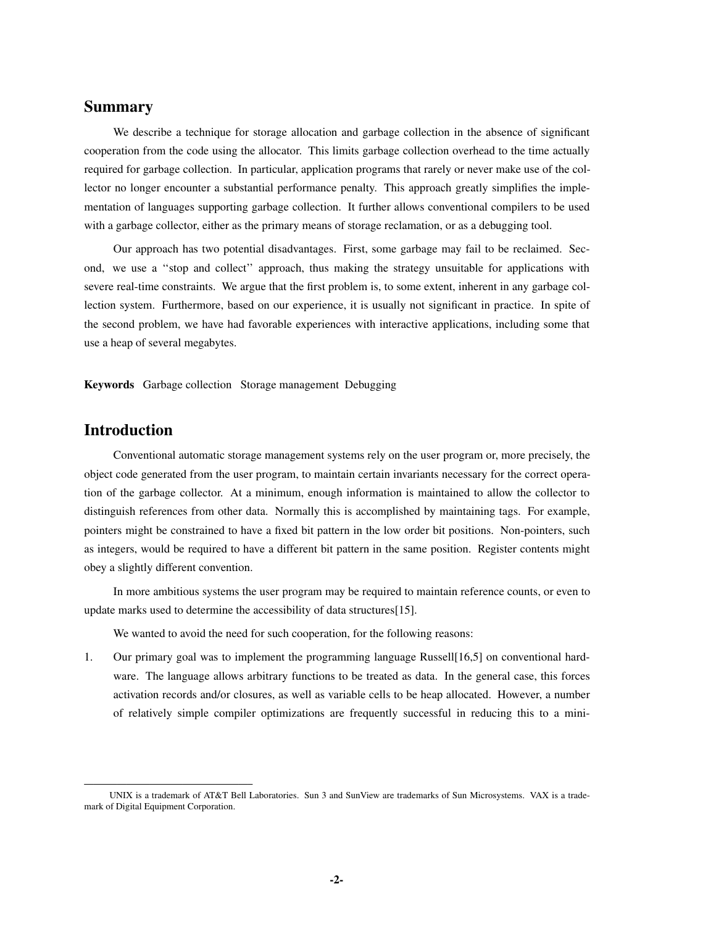### **Summary**

We describe a technique for storage allocation and garbage collection in the absence of significant cooperation from the code using the allocator. This limits garbage collection overhead to the time actually required for garbage collection. In particular, application programs that rarely or never make use of the collector no longer encounter a substantial performance penalty. This approach greatly simplifies the implementation of languages supporting garbage collection. It further allows conventional compilers to be used with a garbage collector, either as the primary means of storage reclamation, or as a debugging tool.

Our approach has two potential disadvantages. First, some garbage may fail to be reclaimed. Second, we use a ''stop and collect'' approach, thus making the strategy unsuitable for applications with severe real-time constraints. We argue that the first problem is, to some extent, inherent in any garbage collection system. Furthermore, based on our experience, it is usually not significant in practice. In spite of the second problem, we have had favorable experiences with interactive applications, including some that use a heap of several megabytes.

**Keywords** Garbage collection Storage management Debugging

### **Introduction**

Conventional automatic storage management systems rely on the user program or, more precisely, the object code generated from the user program, to maintain certain invariants necessary for the correct operation of the garbage collector. Ataminimum, enough information is maintained to allow the collector to distinguish references from other data. Normally this is accomplished by maintaining tags. For example, pointers might be constrained to have a fixed bit pattern in the low order bit positions. Non-pointers, such as integers, would be required to have a different bit pattern in the same position. Register contents might obeyaslightly different convention.

In more ambitious systems the user program may be required to maintain reference counts, or even to update marks used to determine the accessibility of data structures[15].

We wanted to avoid the need for such cooperation, for the following reasons:

1. Our primary goal was to implement the programming language Russell[16,5] on conventional hardware. The language allows arbitrary functions to be treated as data. In the general case, this forces activation records and/or closures, as well as variable cells to be heap allocated. However, a number of relatively simple compiler optimizations are frequently successful in reducing this to a mini-

UNIX is a trademark of AT&T Bell Laboratories. Sun 3 and SunView are trademarks of Sun Microsystems. VAX is a trademark of Digital Equipment Corporation.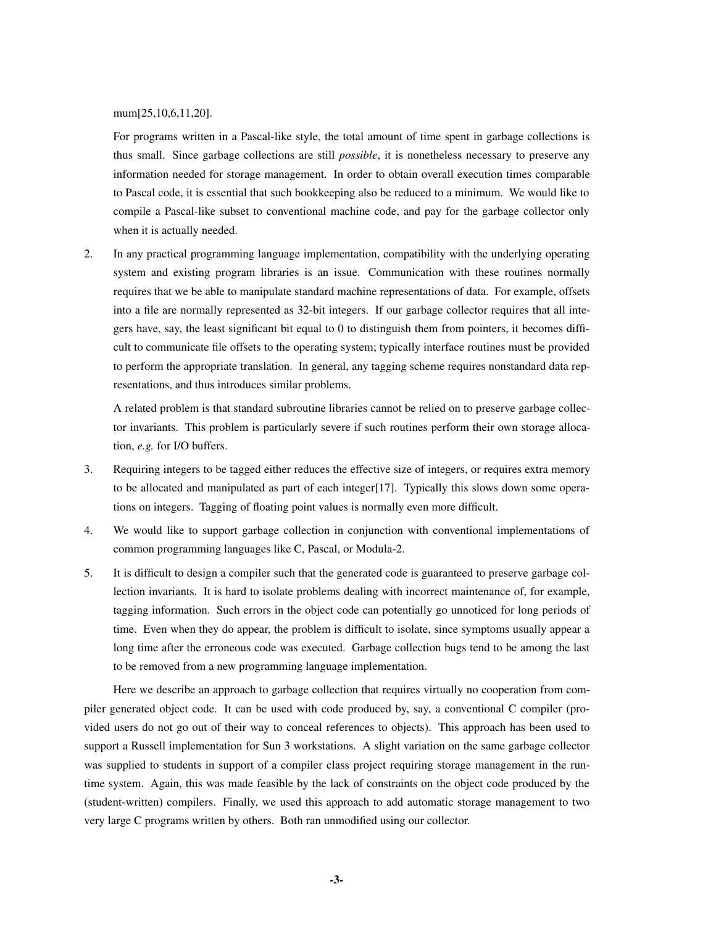mum[25,10,6,11,20].

For programs written in a Pascal-like style, the total amount of time spent in garbage collections is thus small. Since garbage collections are still *possible*, it is nonetheless necessary to preserve any information needed for storage management. In order to obtain overall execution times comparable to Pascal code, it is essential that such bookkeeping also be reduced to a minimum. We would like to compile a Pascal-like subset to conventional machine code, and pay for the garbage collector only when it is actually needed.

2. In any practical programming language implementation, compatibility with the underlying operating system and existing program libraries is an issue. Communication with these routines normally requires that we be able to manipulate standard machine representations of data. For example, offsets into a file are normally represented as 32-bit integers. If our garbage collector requires that all integers have, say, the least significant bit equal to 0 to distinguish them from pointers, it becomes difficult to communicate file offsets to the operating system; typically interface routines must be provided to perform the appropriate translation. In general, any tagging scheme requires nonstandard data representations, and thus introduces similar problems.

A related problem is that standard subroutine libraries cannot be relied on to preserve garbage collector invariants. This problem is particularly severe if such routines perform their own storage allocation, *e.g.* for I/O buffers.

- 3. Requiring integers to be tagged either reduces the effective size of integers, or requires extra memory to be allocated and manipulated as part of each integer[17]. Typically this slows down some operations on integers. Tagging of floating point values is normally even more difficult.
- 4. We would like to support garbage collection in conjunction with conventional implementations of common programming languages like C, Pascal, or Modula-2.
- 5. It is difficult to design a compiler such that the generated code is guaranteed to preserve garbage collection invariants. It is hard to isolate problems dealing with incorrect maintenance of, for example, tagging information. Such errors in the object code can potentially go unnoticed for long periods of time. Even when they do appear, the problem is difficult to isolate, since symptoms usually appear a long time after the erroneous code was executed. Garbage collection bugs tend to be among the last to be removed from a new programming language implementation.

Here we describe an approach to garbage collection that requires virtually no cooperation from compiler generated object code. It can be used with code produced by, say,aconventional C compiler (provided users do not go out of their way to conceal references to objects). This approach has been used to support a Russell implementation for Sun 3 workstations. A slight variation on the same garbage collector was supplied to students in support of a compiler class project requiring storage management in the runtime system. Again, this was made feasible by the lack of constraints on the object code produced by the (student-written) compilers. Finally, we used this approach to add automatic storage management to two very large C programs written by others. Both ran unmodified using our collector.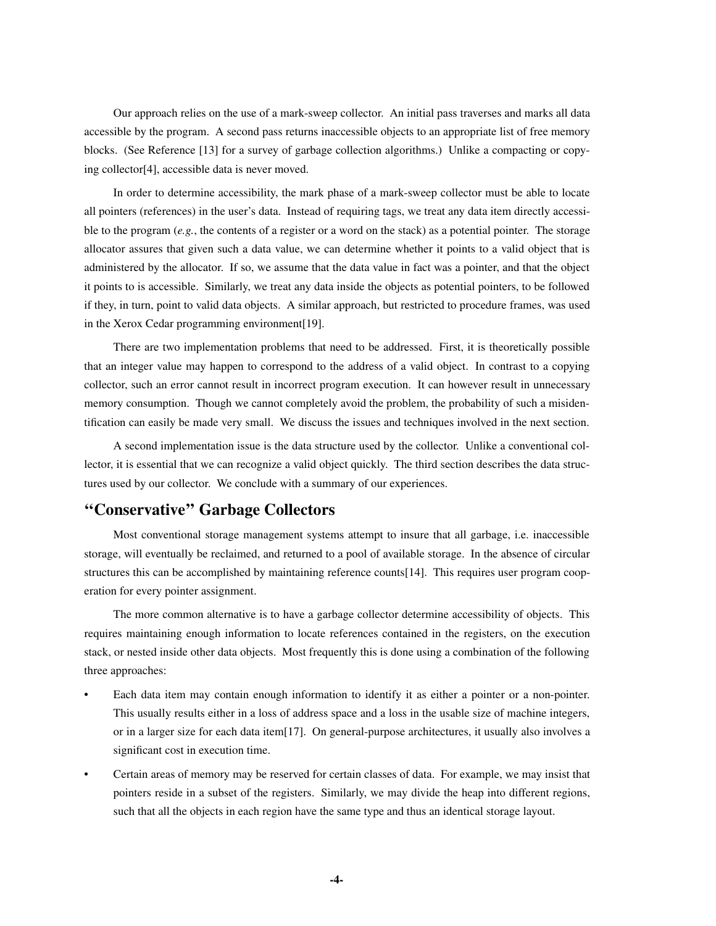Our approach relies on the use of a mark-sweep collector. An initial pass traverses and marks all data accessible by the program. A second pass returns inaccessible objects to an appropriate list of free memory blocks. (See Reference [13] for a survey of garbage collection algorithms.) Unlike a compacting or copying collector[4], accessible data is never moved.

In order to determine accessibility, the mark phase of a mark-sweep collector must be able to locate all pointers (references) in the user's data. Instead of requiring tags, we treat any data item directly accessible to the program (*e.g.*, the contents of a register or a word on the stack) as a potential pointer. The storage allocator assures that given such a data value, we can determine whether it points to a valid object that is administered by the allocator. If so, we assume that the data value in fact was a pointer, and that the object it points to is accessible. Similarly, we treat any data inside the objects as potential pointers, to be followed if they, in turn, point to valid data objects. A similar approach, but restricted to procedure frames, was used in the Xerox Cedar programming environment[19].

There are two implementation problems that need to be addressed. First, it is theoretically possible that an integer value may happen to correspond to the address of a valid object. In contrast to a copying collector, such an error cannot result in incorrect program execution. It can however result in unnecessary memory consumption. Though we cannot completely avoid the problem, the probability of such a misidentification can easily be made very small. We discuss the issues and techniques involved in the next section.

A second implementation issue is the data structure used by the collector. Unlike a conventional collector, it is essential that we can recognize a valid object quickly. The third section describes the data structures used by our collector. We conclude with a summary of our experiences.

# **''Conservative'' Garbage Collectors**

Most conventional storage management systems attempt to insure that all garbage, i.e. inaccessible storage, will eventually be reclaimed, and returned to a pool of available storage. In the absence of circular structures this can be accomplished by maintaining reference counts[14]. This requires user program cooperation for every pointer assignment.

The more common alternative is to have a garbage collector determine accessibility of objects. This requires maintaining enough information to locate references contained in the registers, on the execution stack, or nested inside other data objects. Most frequently this is done using a combination of the following three approaches:

- Each data item may contain enough information to identify it as either a pointer or a non-pointer. This usually results either in a loss of address space and a loss in the usable size of machine integers, or in a larger size for each data item[17]. On general-purpose architectures, it usually also involves a significant cost in execution time.
- Certain areas of memory may be reserved for certain classes of data. For example, we may insist that pointers reside in a subset of the registers. Similarly, we may divide the heap into different regions, such that all the objects in each region have the same type and thus an identical storage layout.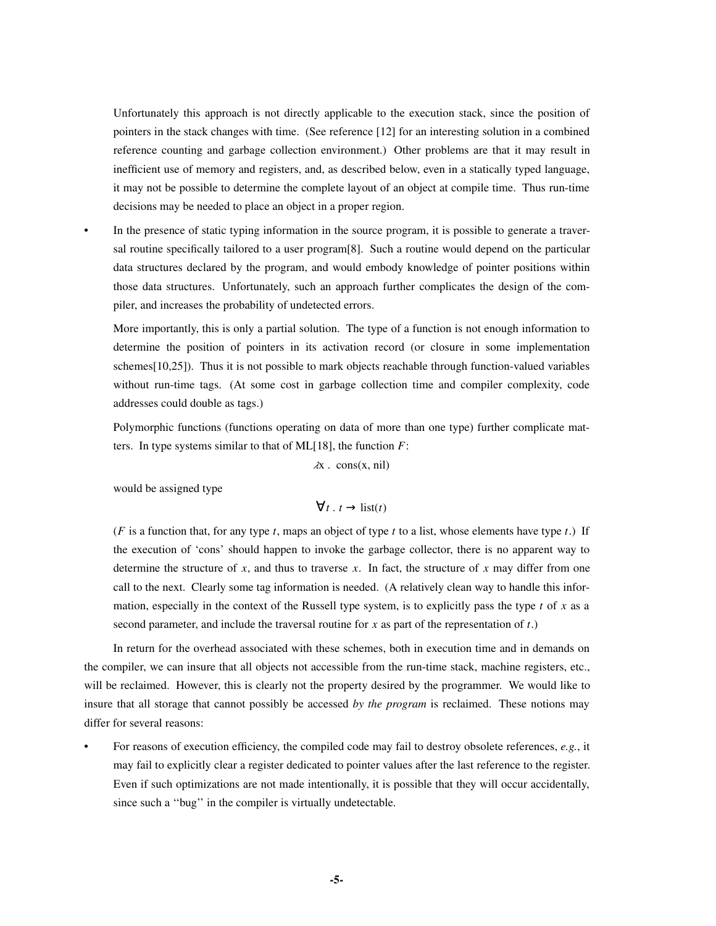Unfortunately this approach is not directly applicable to the execution stack, since the position of pointers in the stack changes with time. (See reference [12] for an interesting solution in a combined reference counting and garbage collection environment.) Other problems are that it may result in inefficient use of memory and registers, and, as described below, even in a statically typed language, it may not be possible to determine the complete layout of an object at compile time. Thus run-time decisions may be needed to place an object in a proper region.

In the presence of static typing information in the source program, it is possible to generate a traversal routine specifically tailored to a user program[8]. Such a routine would depend on the particular data structures declared by the program, and would embody knowledge of pointer positions within those data structures. Unfortunately, such an approach further complicates the design of the compiler, and increases the probability of undetected errors.

More importantly, this is only a partial solution. The type of a function is not enough information to determine the position of pointers in its activation record (or closure in some implementation schemes[10,25]). Thus it is not possible to mark objects reachable through function-valued variables without run-time tags. (At some cost in garbage collection time and compiler complexity, code addresses could double as tags.)

Polymorphic functions (functions operating on data of more than one type) further complicate matters. In type systems similar to that of ML[18], the function *F*:

 $\lambda x$ . cons(x, nil)

would be assigned type

$$
\forall t : t \rightarrow \text{list}(t)
$$

(*F* is a function that, for any type *t*, maps an object of type *t* to a list, whose elements have type *t*.) If the execution of 'cons' should happen to invoke the garbage collector, there is no apparent way to determine the structure of  $x$ , and thus to traverse  $x$ . In fact, the structure of  $x$  may differ from one call to the next. Clearly some tag information is needed. (A relatively clean way to handle this information, especially in the context of the Russell type system, is to explicitly pass the type *t* of *x* as a second parameter, and include the traversal routine for *x* as part of the representation of *t*.)

In return for the overhead associated with these schemes, both in execution time and in demands on the compiler, we can insure that all objects not accessible from the run-time stack, machine registers, etc., will be reclaimed. However, this is clearly not the property desired by the programmer. We would like to insure that all storage that cannot possibly be accessed *by the program* is reclaimed. These notions may differ for several reasons:

• For reasons of execution efficiency, the compiled code may fail to destroy obsolete references, *e.g.*, it may fail to explicitly clear a register dedicated to pointer values after the last reference to the register. Even if such optimizations are not made intentionally, it is possible that they will occur accidentally, since such a ''bug'' in the compiler is virtually undetectable.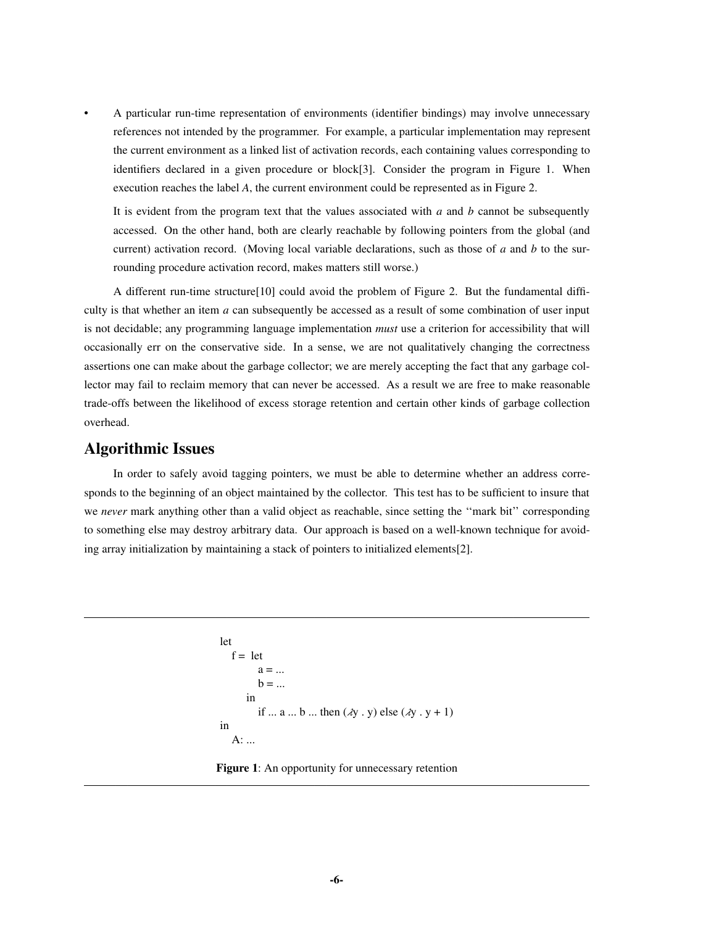• A particular run-time representation of environments (identifier bindings) may involve unnecessary references not intended by the programmer. For example, a particular implementation may represent the current environment as a linked list of activation records, each containing values corresponding to identifiers declared in a given procedure or block[3]. Consider the program in Figure 1. When execution reaches the label *A*, the current environment could be represented as in Figure 2.

It is evident from the program text that the values associated with *a* and *b* cannot be subsequently accessed. On the other hand, both are clearly reachable by following pointers from the global (and current) activation record. (Moving local variable declarations, such as those of *a* and *b* to the surrounding procedure activation record, makes matters still worse.)

A different run-time structure[10] could avoid the problem of Figure 2. But the fundamental difficulty is that whether an item *a* can subsequently be accessed as a result of some combination of user input is not decidable; any programming language implementation *must* use a criterion for accessibility that will occasionally err on the conservative side. In a sense, we are not qualitatively changing the correctness assertions one can make about the garbage collector; we are merely accepting the fact that any garbage collector may fail to reclaim memory that can never be accessed. As a result we are free to make reasonable trade-offs between the likelihood of excess storage retention and certain other kinds of garbage collection overhead.

### **Algorithmic Issues**

In order to safely avoid tagging pointers, we must be able to determine whether an address corresponds to the beginning of an object maintained by the collector. This test has to be sufficient to insure that we *never* mark anything other than a valid object as reachable, since setting the ''mark bit'' corresponding to something else may destroy arbitrary data. Our approach is based on a well-known technique for avoiding array initialization by maintaining a stack of pointers to initialized elements[2].

```
let
f = leta = ...b = ...in
        if ... a ... b ... then (\lambda y \cdot y) else (\lambda y \cdot y + 1)in
 A: ...
```
**Figure 1**: An opportunity for unnecessary retention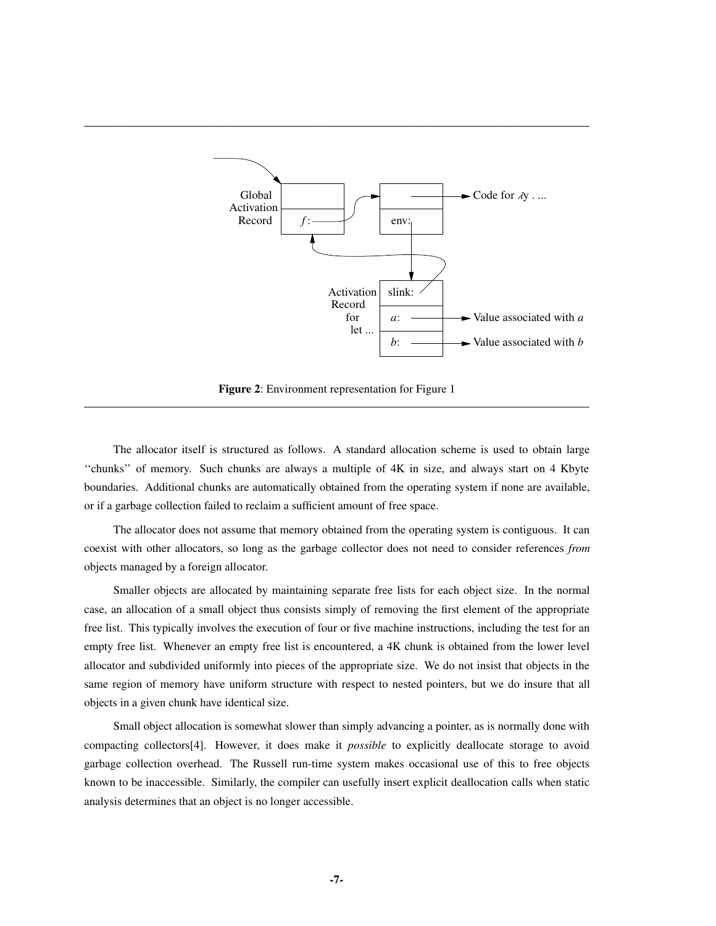

**Figure 2**: Environment representation for Figure 1

The allocator itself is structured as follows. A standard allocation scheme is used to obtain large ''chunks'' of memory. Such chunks are always a multiple of 4K in size, and always start on 4 Kbyte boundaries. Additional chunks are automatically obtained from the operating system if none are available, or if a garbage collection failed to reclaim a sufficient amount of free space.

The allocator does not assume that memory obtained from the operating system is contiguous. It can coexist with other allocators, so long as the garbage collector does not need to consider references *from* objects managed by a foreign allocator.

Smaller objects are allocated by maintaining separate free lists for each object size. In the normal case, an allocation of a small object thus consists simply of removing the first element of the appropriate free list. This typically involves the execution of four or five machine instructions, including the test for an empty free list. Whenever an empty free list is encountered, a 4K chunk is obtained from the lower level allocator and subdivided uniformly into pieces of the appropriate size. We do not insist that objects in the same region of memory have uniform structure with respect to nested pointers, but we do insure that all objects in a given chunk have identical size.

Small object allocation is somewhat slower than simply advancing a pointer, as is normally done with compacting collectors[4]. However, it does make it *possible* to explicitly deallocate storage to avoid garbage collection overhead. The Russell run-time system makes occasional use of this to free objects known to be inaccessible. Similarly, the compiler can usefully insert explicit deallocation calls when static analysis determines that an object is no longer accessible.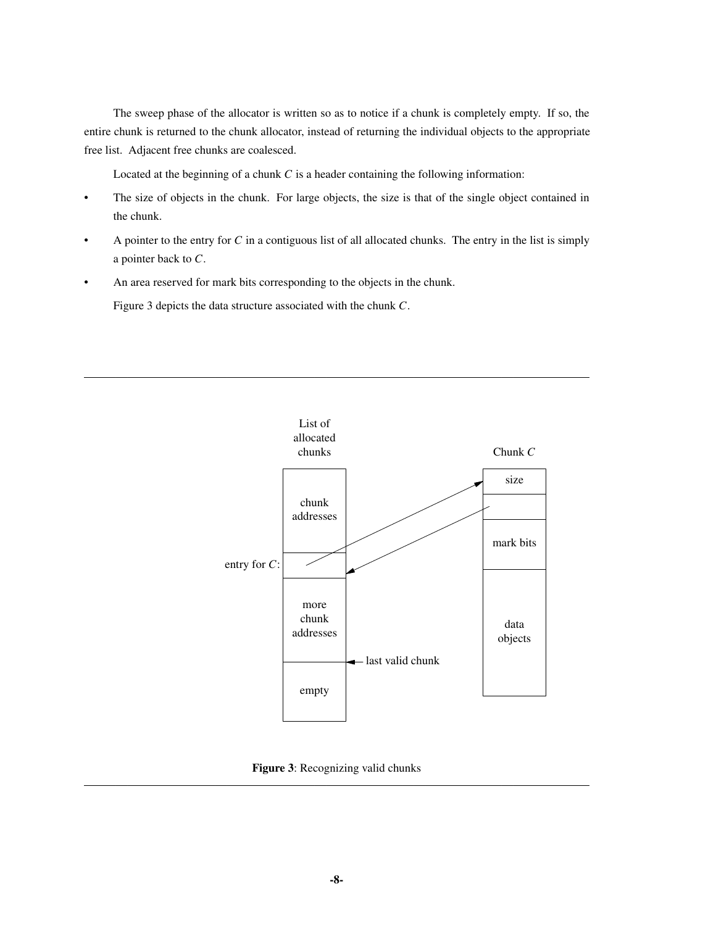The sweep phase of the allocator is written so as to notice if a chunk is completely empty. If so, the entire chunk is returned to the chunk allocator, instead of returning the individual objects to the appropriate free list. Adjacent free chunks are coalesced.

Located at the beginning of a chunk *C* is a header containing the following information:

- The size of objects in the chunk. For large objects, the size is that of the single object contained in the chunk.
- A pointer to the entry for *C* in a contiguous list of all allocated chunks. The entry in the list is simply a pointer back to *C*.
- An area reserved for mark bits corresponding to the objects in the chunk.

Figure 3 depicts the data structure associated with the chunk *C*.



**Figure 3**: Recognizing valid chunks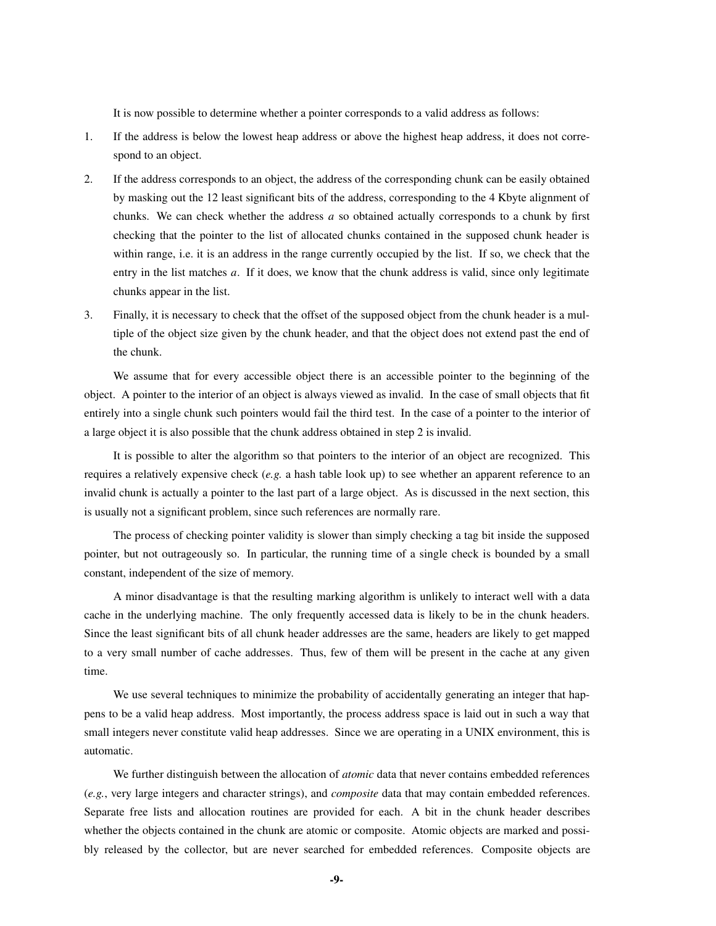It is now possible to determine whether a pointer corresponds to a valid address as follows:

- 1. If the address is below the lowest heap address or above the highest heap address, it does not correspond to an object.
- 2. If the address corresponds to an object, the address of the corresponding chunk can be easily obtained by masking out the 12 least significant bits of the address, corresponding to the 4 Kbyte alignment of chunks. We can check whether the address *a* so obtained actually corresponds to a chunk by first checking that the pointer to the list of allocated chunks contained in the supposed chunk header is within range, i.e. it is an address in the range currently occupied by the list. If so, we check that the entry in the list matches *a*. If it does, we know that the chunk address is valid, since only legitimate chunks appear in the list.
- 3. Finally, it is necessary to check that the offset of the supposed object from the chunk header is a multiple of the object size given by the chunk header, and that the object does not extend past the end of the chunk.

We assume that for every accessible object there is an accessible pointer to the beginning of the object. A pointer to the interior of an object is always viewed as invalid. In the case of small objects that fit entirely into a single chunk such pointers would fail the third test. In the case of a pointer to the interior of a large object it is also possible that the chunk address obtained in step 2 is invalid.

It is possible to alter the algorithm so that pointers to the interior of an object are recognized. This requires a relatively expensive check (*e.g.* a hash table look up) to see whether an apparent reference to an invalid chunk is actually a pointer to the last part of a large object. As is discussed in the next section, this is usually not a significant problem, since such references are normally rare.

The process of checking pointer validity is slower than simply checking a tag bit inside the supposed pointer, but not outrageously so. In particular, the running time of a single check is bounded by a small constant, independent of the size of memory.

A minor disadvantage is that the resulting marking algorithm is unlikely to interact well with a data cache in the underlying machine. The only frequently accessed data is likely to be in the chunk headers. Since the least significant bits of all chunk header addresses are the same, headers are likely to get mapped to a very small number of cache addresses. Thus, few of them will be present in the cache at any given time.

We use several techniques to minimize the probability of accidentally generating an integer that happens to be a valid heap address. Most importantly, the process address space is laid out in such a way that small integers never constitute valid heap addresses. Since we are operating in a UNIX environment, this is automatic.

We further distinguish between the allocation of *atomic* data that never contains embedded references (*e.g.*, very large integers and character strings), and *composite* data that may contain embedded references. Separate free lists and allocation routines are provided for each. A bit in the chunk header describes whether the objects contained in the chunk are atomic or composite. Atomic objects are marked and possibly released by the collector, but are never searched for embedded references. Composite objects are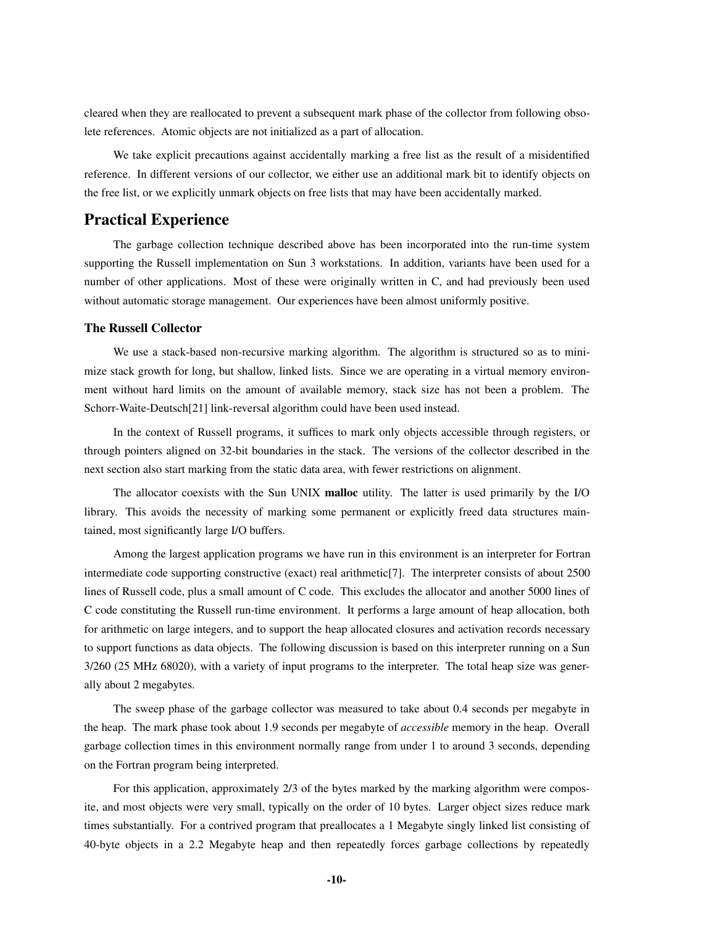cleared when they are reallocated to prevent a subsequent mark phase of the collector from following obsolete references. Atomic objects are not initialized as a part of allocation.

We take explicit precautions against accidentally marking a free list as the result of a misidentified reference. In different versions of our collector, we either use an additional mark bit to identify objects on the free list, or we explicitly unmark objects on free lists that may have been accidentally marked.

### **Practical Experience**

The garbage collection technique described above has been incorporated into the run-time system supporting the Russell implementation on Sun 3 workstations. In addition, variants have been used for a number of other applications. Most of these were originally written in C, and had previously been used without automatic storage management. Our experiences have been almost uniformly positive.

#### **The Russell Collector**

We use a stack-based non-recursive marking algorithm. The algorithm is structured so as to minimize stack growth for long, but shallow, linked lists. Since we are operating in a virtual memory environment without hard limits on the amount of available memory, stack size has not been a problem. The Schorr-Waite-Deutsch[21] link-reversal algorithm could have been used instead.

In the context of Russell programs, it suffices to mark only objects accessible through registers, or through pointers aligned on 32-bit boundaries in the stack. The versions of the collector described in the next section also start marking from the static data area, with fewer restrictions on alignment.

The allocator coexists with the Sun UNIX **malloc** utility. The latter is used primarily by the I/O library. This avoids the necessity of marking some permanent or explicitly freed data structures maintained, most significantly large I/O buffers.

Among the largest application programs we have run in this environment is an interpreter for Fortran intermediate code supporting constructive (exact) real arithmetic[7]. The interpreter consists of about 2500 lines of Russell code, plus a small amount of C code. This excludes the allocator and another 5000 lines of C code constituting the Russell run-time environment. It performs a large amount of heap allocation, both for arithmetic on large integers, and to support the heap allocated closures and activation records necessary to support functions as data objects. The following discussion is based on this interpreter running on a Sun 3/260 (25 MHz 68020), with a variety of input programs to the interpreter. The total heap size was generally about 2 megabytes.

The sweep phase of the garbage collector was measured to take about 0.4 seconds per megabyte in the heap. The mark phase took about 1.9 seconds per megabyte of *accessible* memory in the heap. Overall garbage collection times in this environment normally range from under 1 to around 3 seconds, depending on the Fortran program being interpreted.

For this application, approximately 2/3 of the bytes marked by the marking algorithm were composite, and most objects were very small, typically on the order of 10 bytes. Larger object sizes reduce mark times substantially. For a contrived program that preallocates a 1 Megabyte singly linked list consisting of 40-byte objects in a 2.2 Megabyte heap and then repeatedly forces garbage collections by repeatedly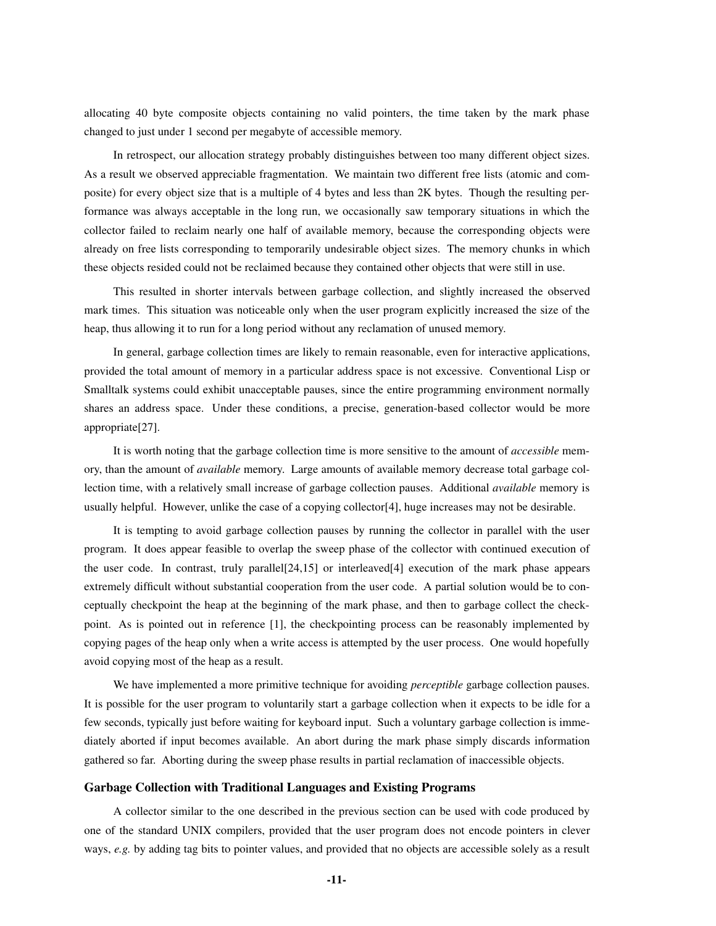allocating 40 byte composite objects containing no valid pointers, the time taken by the mark phase changed to just under 1 second per megabyte of accessible memory.

In retrospect, our allocation strategy probably distinguishes between too many different object sizes. As a result we observed appreciable fragmentation. We maintain two different free lists (atomic and composite) for every object size that is a multiple of 4 bytes and less than 2K bytes. Though the resulting performance was always acceptable in the long run, we occasionally saw temporary situations in which the collector failed to reclaim nearly one half of available memory, because the corresponding objects were already on free lists corresponding to temporarily undesirable object sizes. The memory chunks in which these objects resided could not be reclaimed because they contained other objects that were still in use.

This resulted in shorter intervals between garbage collection, and slightly increased the observed mark times. This situation was noticeable only when the user program explicitly increased the size of the heap, thus allowing it to run for a long period without any reclamation of unused memory.

In general, garbage collection times are likely to remain reasonable, even for interactive applications, provided the total amount of memory in a particular address space is not excessive. Conventional Lisp or Smalltalk systems could exhibit unacceptable pauses, since the entire programming environment normally shares an address space. Under these conditions, a precise, generation-based collector would be more appropriate[27].

It is worth noting that the garbage collection time is more sensitive to the amount of *accessible* memory, than the amount of *available* memory. Large amounts of available memory decrease total garbage collection time, with a relatively small increase of garbage collection pauses. Additional *available* memory is usually helpful. However, unlike the case of a copying collector[4], huge increases may not be desirable.

It is tempting to avoid garbage collection pauses by running the collector in parallel with the user program. It does appear feasible to overlap the sweep phase of the collector with continued execution of the user code. In contrast, truly parallel[24,15] or interleaved[4] execution of the mark phase appears extremely difficult without substantial cooperation from the user code. A partial solution would be to conceptually checkpoint the heap at the beginning of the mark phase, and then to garbage collect the checkpoint. As is pointed out in reference [1], the checkpointing process can be reasonably implemented by copying pages of the heap only when a write access is attempted by the user process. One would hopefully avoid copying most of the heap as a result.

We have implemented a more primitive technique for avoiding *perceptible* garbage collection pauses. It is possible for the user program to voluntarily start a garbage collection when it expects to be idle for a few seconds, typically just before waiting for keyboard input. Such a voluntary garbage collection is immediately aborted if input becomes available. An abort during the mark phase simply discards information gathered so far. Aborting during the sweep phase results in partial reclamation of inaccessible objects.

#### **Garbage Collection with Traditional Languages and Existing Programs**

A collector similar to the one described in the previous section can be used with code produced by one of the standard UNIX compilers, provided that the user program does not encode pointers in clever ways, *e.g.* by adding tag bits to pointer values, and provided that no objects are accessible solely as a result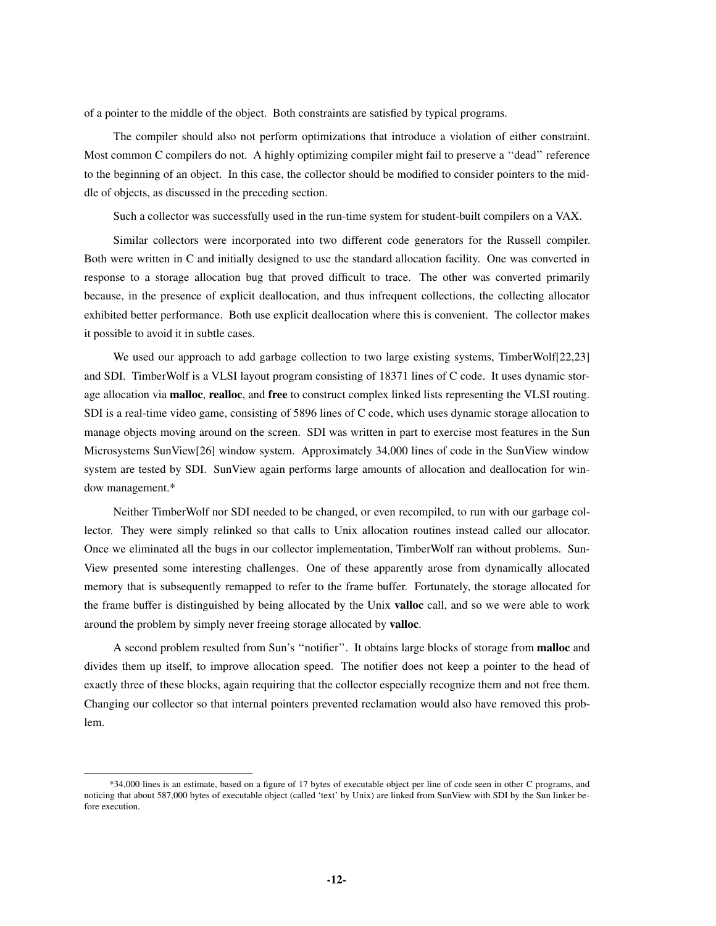of a pointer to the middle of the object. Both constraints are satisfied by typical programs.

The compiler should also not perform optimizations that introduce a violation of either constraint. Most common C compilers do not. A highly optimizing compiler might fail to preserve a "dead" reference to the beginning of an object. In this case, the collector should be modified to consider pointers to the middle of objects, as discussed in the preceding section.

Such a collector was successfully used in the run-time system for student-built compilers on a VAX.

Similar collectors were incorporated into two different code generators for the Russell compiler. Both were written in C and initially designed to use the standard allocation facility. One was converted in response to a storage allocation bug that proved difficult to trace. The other was converted primarily because, in the presence of explicit deallocation, and thus infrequent collections, the collecting allocator exhibited better performance. Both use explicit deallocation where this is convenient. The collector makes it possible to avoid it in subtle cases.

We used our approach to add garbage collection to two large existing systems, TimberWolf[22,23] and SDI. TimberWolf is a VLSI layout program consisting of 18371 lines of C code. It uses dynamic storage allocation via **malloc**, **realloc**, and **free** to construct complex linked lists representing the VLSI routing. SDI is a real-time video game, consisting of 5896 lines of C code, which uses dynamic storage allocation to manage objects moving around on the screen. SDI was written in part to exercise most features in the Sun Microsystems SunView[26] window system. Approximately 34,000 lines of code in the SunView window system are tested by SDI. SunView again performs large amounts of allocation and deallocation for window management.\*

Neither TimberWolf nor SDI needed to be changed, or even recompiled, to run with our garbage collector. They were simply relinked so that calls to Unix allocation routines instead called our allocator. Once we eliminated all the bugs in our collector implementation, TimberWolf ran without problems. Sun-View presented some interesting challenges. One of these apparently arose from dynamically allocated memory that is subsequently remapped to refer to the frame buffer. Fortunately, the storage allocated for the frame buffer is distinguished by being allocated by the Unix **valloc** call, and so we were able to work around the problem by simply never freeing storage allocated by **valloc**.

A second problem resulted from Sun's ''notifier''. It obtains large blocks of storage from **malloc** and divides them up itself, to improve allocation speed. The notifier does not keep a pointer to the head of exactly three of these blocks, again requiring that the collector especially recognize them and not free them. Changing our collector so that internal pointers prevented reclamation would also have removed this problem.

<sup>\*34,000</sup> lines is an estimate, based on a figure of 17 bytes of executable object per line of code seen in other C programs, and noticing that about 587,000 bytes of executable object (called 'text' by Unix) are linked from SunView with SDI by the Sun linker before execution.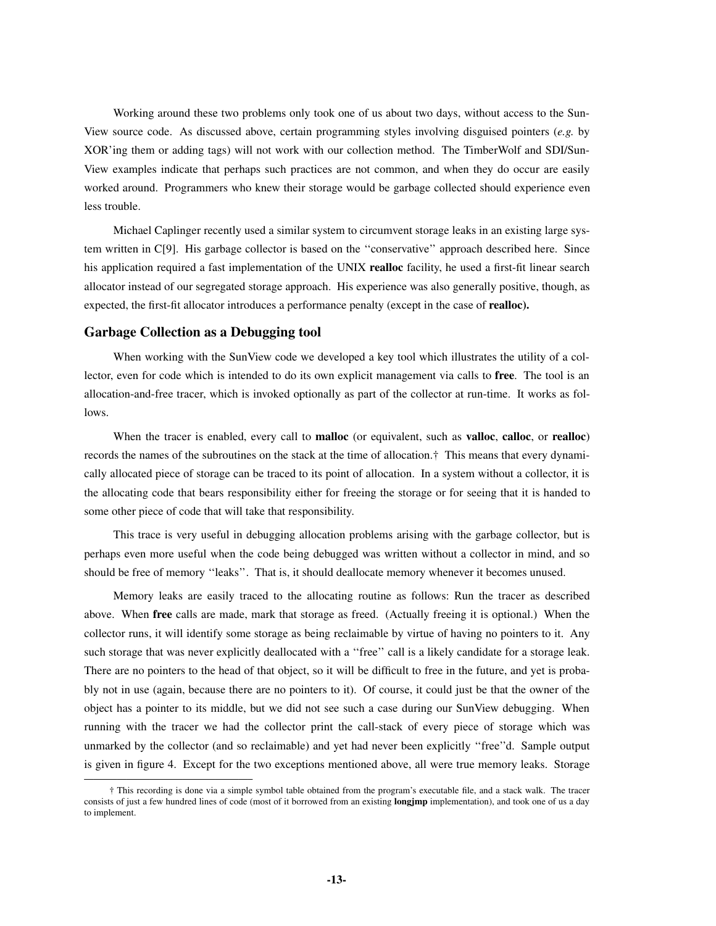Working around these two problems only took one of us about two days, without access to the Sun-View source code. As discussed above, certain programming styles involving disguised pointers (*e.g.* by XOR'ing them or adding tags) will not work with our collection method. The TimberWolf and SDI/Sun-View examples indicate that perhaps such practices are not common, and when they do occur are easily worked around. Programmers who knew their storage would be garbage collected should experience even less trouble.

Michael Caplinger recently used a similar system to circumvent storage leaks in an existing large system written in C[9]. His garbage collector is based on the ''conservative'' approach described here. Since his application required a fast implementation of the UNIX **realloc** facility, he used a first-fit linear search allocator instead of our segregated storage approach. His experience was also generally positive, though, as expected, the first-fit allocator introduces a performance penalty (except in the case of **realloc).**

#### **Garbage Collection as a Debugging tool**

When working with the SunView code we developed a key tool which illustrates the utility of a collector, even for code which is intended to do its own explicit management via calls to **free**. The tool is an allocation-and-free tracer, which is invoked optionally as part of the collector at run-time. It works as follows.

When the tracer is enabled, every call to **malloc** (or equivalent, such as **valloc**, **calloc**, or **realloc**) records the names of the subroutines on the stack at the time of allocation.† This means that every dynamically allocated piece of storage can be traced to its point of allocation. In a system without a collector, it is the allocating code that bears responsibility either for freeing the storage or for seeing that it is handed to some other piece of code that will take that responsibility.

This trace is very useful in debugging allocation problems arising with the garbage collector, but is perhaps even more useful when the code being debugged was written without a collector in mind, and so should be free of memory ''leaks''. That is, it should deallocate memory whenever it becomes unused.

Memory leaks are easily traced to the allocating routine as follows: Run the tracer as described above. When **free** calls are made, mark that storage as freed. (Actually freeing it is optional.) When the collector runs, it will identify some storage as being reclaimable by virtue of having no pointers to it. Any such storage that was never explicitly deallocated with a ''free'' call is a likely candidate for a storage leak. There are no pointers to the head of that object, so it will be difficult to free in the future, and yet is probably not in use (again, because there are no pointers to it). Of course, it could just be that the owner of the object has a pointer to its middle, but we did not see such a case during our SunView debugging. When running with the tracer we had the collector print the call-stack of every piece of storage which was unmarked by the collector (and so reclaimable) and yet had never been explicitly ''free''d. Sample output is given in figure 4. Except for the two exceptions mentioned above, all were true memory leaks. Storage

<sup>†</sup> This recording is done via a simple symbol table obtained from the program's executable file, and a stack walk. The tracer consists of just a few hundred lines of code (most of it borrowed from an existing **longjmp** implementation), and took one of us a day to implement.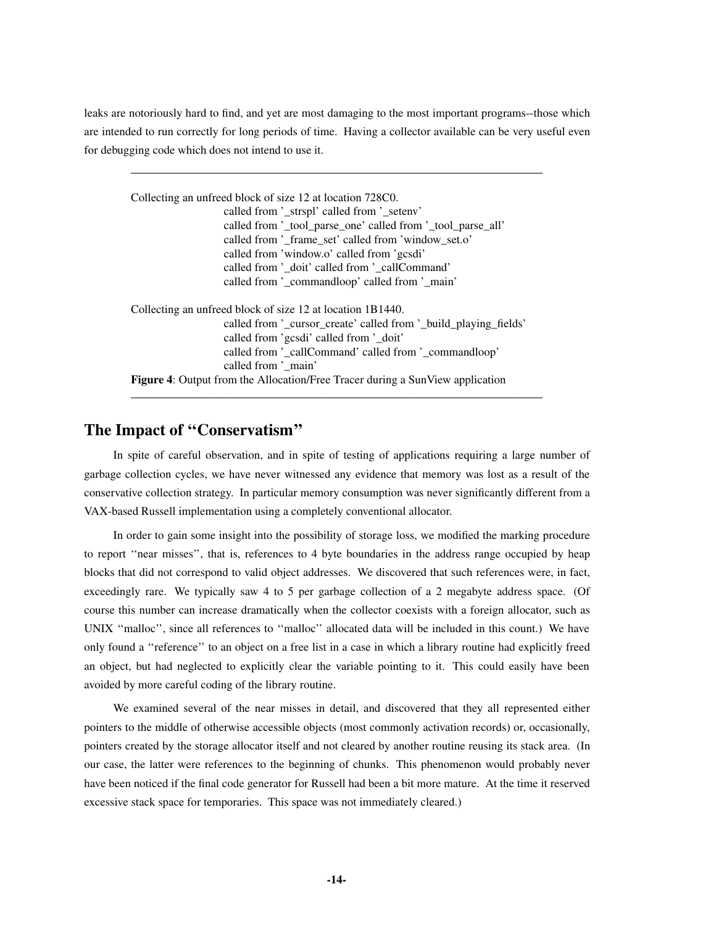leaks are notoriously hard to find, and yet are most damaging to the most important programs--those which are intended to run correctly for long periods of time. Having a collector available can be very useful even for debugging code which does not intend to use it.

# **The Impact of ''Conservatism''**

In spite of careful observation, and in spite of testing of applications requiring a large number of garbage collection cycles, we have never witnessed any evidence that memory was lost as a result of the conservative collection strategy. In particular memory consumption was never significantly different from a VAX-based Russell implementation using a completely conventional allocator.

In order to gain some insight into the possibility of storage loss, we modified the marking procedure to report ''near misses'', that is, references to 4 byte boundaries in the address range occupied by heap blocks that did not correspond to valid object addresses. We discovered that such references were, in fact, exceedingly rare. We typically saw 4 to 5 per garbage collection of a 2 megabyte address space. (Of course this number can increase dramatically when the collector coexists with a foreign allocator, such as UNIX "malloc", since all references to "malloc" allocated data will be included in this count.) We have only found a ''reference'' to an object on a free list in a case in which a library routine had explicitly freed an object, but had neglected to explicitly clear the variable pointing to it. This could easily have been avoided by more careful coding of the library routine.

We examined several of the near misses in detail, and discovered that they all represented either pointers to the middle of otherwise accessible objects (most commonly activation records) or, occasionally, pointers created by the storage allocator itself and not cleared by another routine reusing its stack area. (In our case, the latter were references to the beginning of chunks. This phenomenon would probably never have been noticed if the final code generator for Russell had been a bit more mature. At the time it reserved excessive stack space for temporaries. This space was not immediately cleared.)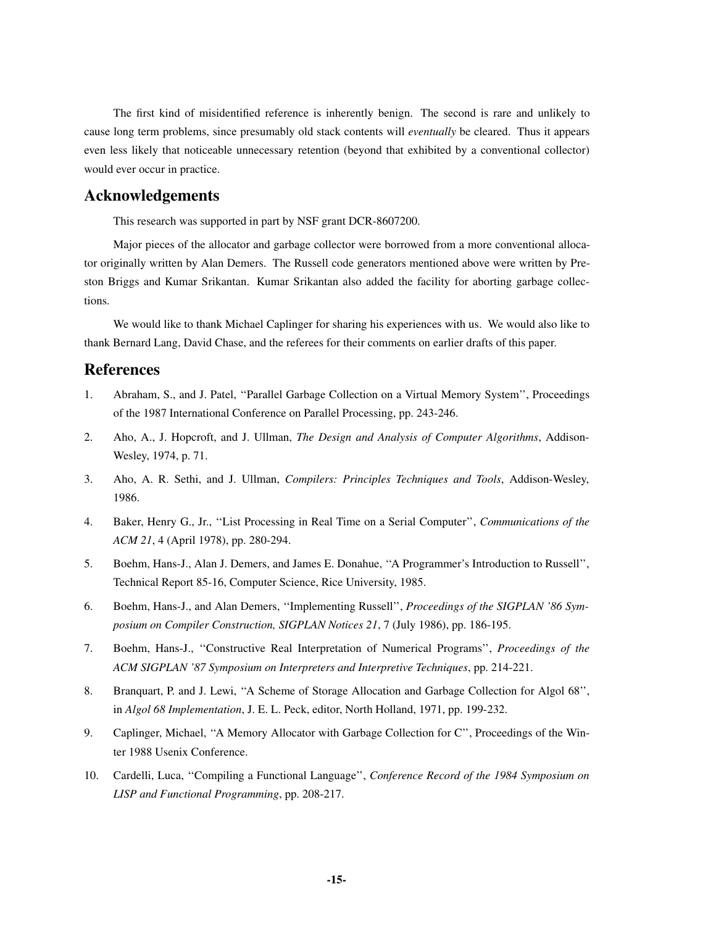The first kind of misidentified reference is inherently benign. The second is rare and unlikely to cause long term problems, since presumably old stack contents will *eventually* be cleared. Thus it appears even less likely that noticeable unnecessary retention (beyond that exhibited by a conventional collector) would ever occur in practice.

### **Acknowledgements**

This research was supported in part by NSF grant DCR-8607200.

Major pieces of the allocator and garbage collector were borrowed from a more conventional allocator originally written by Alan Demers. The Russell code generators mentioned above were written by Preston Briggs and Kumar Srikantan. Kumar Srikantan also added the facility for aborting garbage collections.

We would like to thank Michael Caplinger for sharing his experiences with us. We would also like to thank Bernard Lang, David Chase, and the referees for their comments on earlier drafts of this paper.

### **References**

- 1. Abraham, S., and J. Patel, ''Parallel Garbage Collection on a Virtual Memory System'', Proceedings of the 1987 International Conference on Parallel Processing, pp. 243-246.
- 2. Aho, A., J. Hopcroft, and J. Ullman, *The Design and Analysis of Computer Algorithms*, Addison-Wesley, 1974, p. 71.
- 3. Aho, A. R. Sethi, and J. Ullman, *Compilers: Principles Techniques and Tools*, Addison-Wesley, 1986.
- 4. Baker, Henry G., Jr., ''List Processing in Real Time on a Serial Computer'', *Communications of the ACM 21*,4(April 1978), pp. 280-294.
- 5. Boehm, Hans-J., Alan J. Demers, and James E. Donahue, ''A Programmer's Introduction to Russell'', Technical Report 85-16, Computer Science, Rice University, 1985.
- 6. Boehm, Hans-J., and Alan Demers, ''Implementing Russell'', *Proceedings of the SIGPLAN '86 Symposium on Compiler Construction, SIGPLAN Notices 21*,7(July 1986), pp. 186-195.
- 7. Boehm, Hans-J., ''Constructive Real Interpretation of Numerical Programs'', *Proceedings of the ACM SIGPLAN '87 Symposium on Interpreters and Interpretive Techniques*, pp. 214-221.
- 8. Branquart, P. and J. Lewi, ''A Scheme of Storage Allocation and Garbage Collection for Algol 68'', in *Algol 68 Implementation*, J. E. L. Peck, editor, North Holland, 1971, pp. 199-232.
- 9. Caplinger, Michael, ''A Memory Allocator with Garbage Collection for C'', Proceedings of the Winter 1988 Usenix Conference.
- 10. Cardelli, Luca, ''Compiling a Functional Language'', *Conference Record of the 1984 Symposium on LISP and Functional Programming*, pp. 208-217.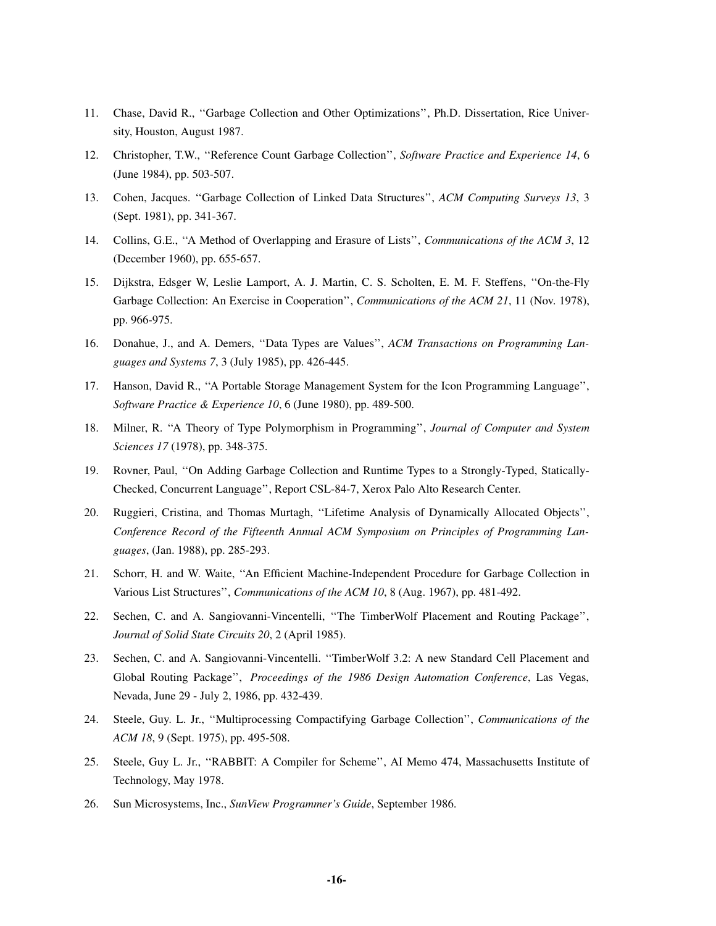- 11. Chase, David R., ''Garbage Collection and Other Optimizations'', Ph.D. Dissertation, Rice University, Houston, August 1987.
- 12. Christopher, T.W., ''Reference Count Garbage Collection'', *Software Practice and Experience 14*, 6 (June 1984), pp. 503-507.
- 13. Cohen, Jacques. ''Garbage Collection of Linked Data Structures'', *ACM Computing Surveys 13*, 3 (Sept. 1981), pp. 341-367.
- 14. Collins, G.E., ''A Method of Overlapping and Erasure of Lists'', *Communications of the ACM 3*, 12 (December 1960), pp. 655-657.
- 15. Dijkstra, Edsger W, Leslie Lamport, A. J. Martin, C. S. Scholten, E. M. F. Steffens, ''On-the-Fly Garbage Collection: An Exercise in Cooperation'', *Communications of the ACM 21*, 11 (Nov. 1978), pp. 966-975.
- 16. Donahue, J., and A. Demers, ''Data Types are Values'', *ACM Transactions on Programming Languages and Systems 7*,3(July 1985), pp. 426-445.
- 17. Hanson, David R., ''A Portable Storage Management System for the Icon Programming Language'', *Software Practice & Experience 10*,6(June 1980), pp. 489-500.
- 18. Milner, R. ''A Theory of Type Polymorphism in Programming'', *Journal of Computer and System Sciences 17* (1978), pp. 348-375.
- 19. Rovner, Paul, ''On Adding Garbage Collection and Runtime Types to a Strongly-Typed, Statically-Checked, Concurrent Language'', Report CSL-84-7, Xerox Palo Alto Research Center.
- 20. Ruggieri, Cristina, and Thomas Murtagh, ''Lifetime Analysis of Dynamically Allocated Objects'', *Conference Record of the Fifteenth Annual ACM Symposium on Principles of Programming Languages*, (Jan. 1988), pp. 285-293.
- 21. Schorr, H. and W. Waite, ''An Efficient Machine-Independent Procedure for Garbage Collection in Various List Structures'', *Communications of the ACM 10*,8(Aug. 1967), pp. 481-492.
- 22. Sechen, C. and A. Sangiovanni-Vincentelli, ''The TimberWolf Placement and Routing Package'', Journal of Solid State Circuits 20, 2 (April 1985).
- 23. Sechen, C. and A. Sangiovanni-Vincentelli. ''TimberWolf 3.2: A new Standard Cell Placement and Global Routing Package", *Proceedings of the 1986 Design Automation Conference*, Las Vegas, Nevada, June 29 - July 2, 1986, pp. 432-439.
- 24. Steele, Guy. L. Jr., ''Multiprocessing Compactifying Garbage Collection'', *Communications of the ACM 18*,9(Sept. 1975), pp. 495-508.
- 25. Steele, Guy L. Jr., "RABBIT: A Compiler for Scheme", AI Memo 474, Massachusetts Institute of Technology, May 1978.
- 26. Sun Microsystems, Inc., *SunView Programmer's Guide*, September 1986.